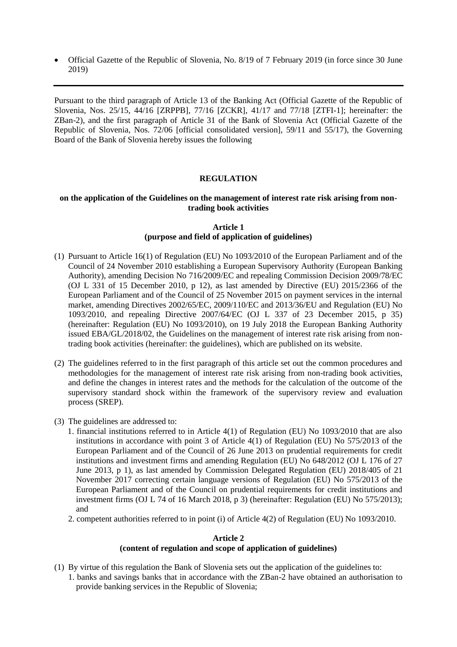• Official Gazette of the Republic of Slovenia, No. 8/19 of 7 February 2019 (in force since 30 June 2019)

Pursuant to the third paragraph of Article 13 of the Banking Act (Official Gazette of the Republic of Slovenia, Nos. 25/15, 44/16 [ZRPPB], 77/16 [ZCKR], 41/17 and 77/18 [ZTFI-1]; hereinafter: the ZBan-2), and the first paragraph of Article 31 of the Bank of Slovenia Act (Official Gazette of the Republic of Slovenia, Nos. 72/06 [official consolidated version], 59/11 and 55/17), the Governing Board of the Bank of Slovenia hereby issues the following

# **REGULATION**

# **on the application of the Guidelines on the management of interest rate risk arising from nontrading book activities**

### **Article 1 (purpose and field of application of guidelines)**

- (1) Pursuant to Article 16(1) of Regulation (EU) No 1093/2010 of the European Parliament and of the Council of 24 November 2010 establishing a European Supervisory Authority (European Banking Authority), amending Decision No 716/2009/EC and repealing Commission Decision 2009/78/EC (OJ L 331 of 15 December 2010, p 12), as last amended by Directive (EU) 2015/2366 of the European Parliament and of the Council of 25 November 2015 on payment services in the internal market, amending Directives 2002/65/EC, 2009/110/EC and 2013/36/EU and Regulation (EU) No 1093/2010, and repealing Directive 2007/64/EC (OJ L 337 of 23 December 2015, p 35) (hereinafter: Regulation (EU) No 1093/2010), on 19 July 2018 the European Banking Authority issued EBA/GL/2018/02, the Guidelines on the management of interest rate risk arising from nontrading book activities (hereinafter: the guidelines), which are published on its website.
- (2) The guidelines referred to in the first paragraph of this article set out the common procedures and methodologies for the management of interest rate risk arising from non-trading book activities, and define the changes in interest rates and the methods for the calculation of the outcome of the supervisory standard shock within the framework of the supervisory review and evaluation process (SREP).
- (3) The guidelines are addressed to:
	- 1. financial institutions referred to in Article 4(1) of Regulation (EU) No 1093/2010 that are also institutions in accordance with point 3 of Article 4(1) of Regulation (EU) No 575/2013 of the European Parliament and of the Council of 26 June 2013 on prudential requirements for credit institutions and investment firms and amending Regulation (EU) No 648/2012 (OJ L 176 of 27 June 2013, p 1), as last amended by Commission Delegated Regulation (EU) 2018/405 of 21 November 2017 correcting certain language versions of Regulation (EU) No 575/2013 of the European Parliament and of the Council on prudential requirements for credit institutions and investment firms (OJ L 74 of 16 March 2018, p 3) (hereinafter: Regulation (EU) No 575/2013); and
	- 2. competent authorities referred to in point (i) of Article 4(2) of Regulation (EU) No 1093/2010.

# **Article 2 (content of regulation and scope of application of guidelines)**

(1) By virtue of this regulation the Bank of Slovenia sets out the application of the guidelines to: 1. banks and savings banks that in accordance with the ZBan-2 have obtained an authorisation to provide banking services in the Republic of Slovenia;